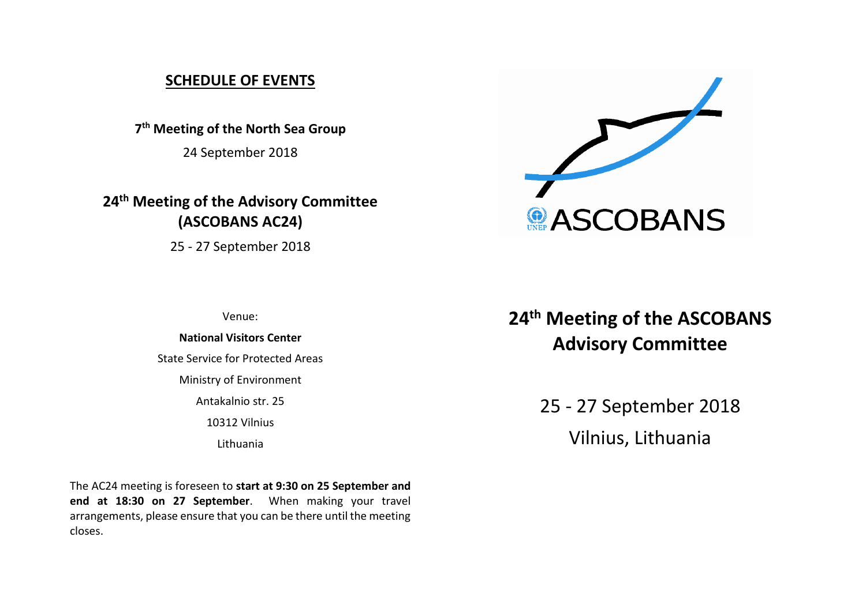# **SCHEDULE OF EVENTS**

**7 th Meeting of the North Sea Group**

24 September 2018

**24 th Meeting of the Advisory Committee (ASCOBANS AC24)**

25 - 27 September 2018



Venue:

### **National Visitors Center**

State Service for Protected Areas

Ministry of Environment

Antakalnio str. 25

10312 Vilnius

Lithuania

The AC24 meeting is foreseen to **start at 9:30 on 25 September and end at 18:30 on 27 September**. When making your travel arrangements, please ensure that you can be there until the meeting closes.

# **24 th Meeting of the ASCOBANS Advisory Committee**

25 - 27 September 2018 Vilnius, Lithuania